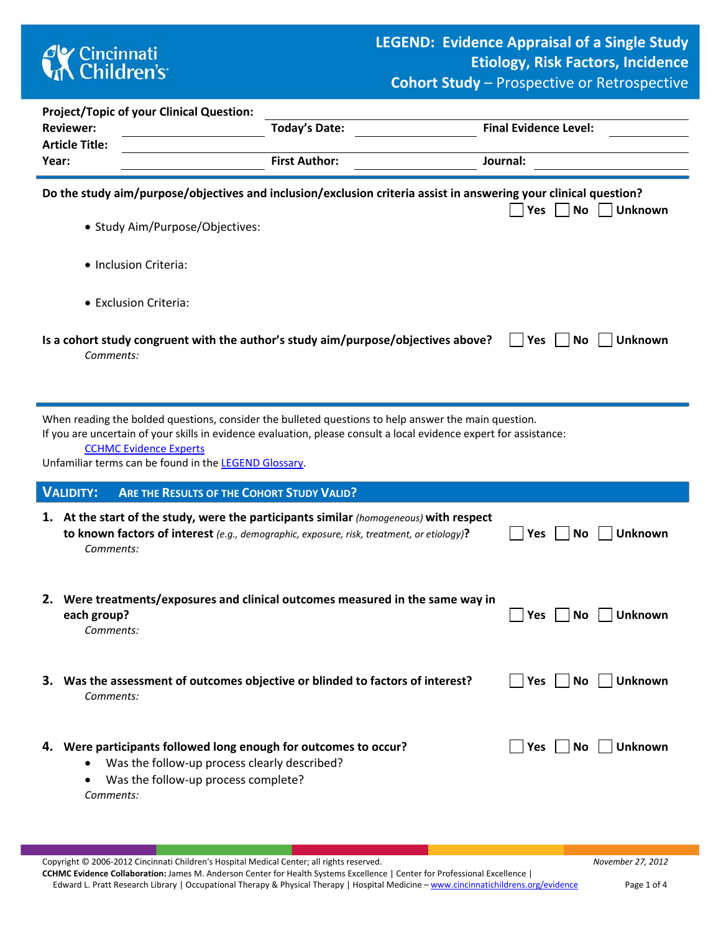

| <b>Project/Topic of your Clinical Question:</b>                                                                                                                                                                                                                                                                      |                                                                                                                                                                           |                                                                                        |                              |  |
|----------------------------------------------------------------------------------------------------------------------------------------------------------------------------------------------------------------------------------------------------------------------------------------------------------------------|---------------------------------------------------------------------------------------------------------------------------------------------------------------------------|----------------------------------------------------------------------------------------|------------------------------|--|
|                                                                                                                                                                                                                                                                                                                      | <b>Reviewer:</b>                                                                                                                                                          | Today's Date:                                                                          | <b>Final Evidence Level:</b> |  |
| Year:                                                                                                                                                                                                                                                                                                                | <b>Article Title:</b>                                                                                                                                                     | <b>First Author:</b>                                                                   | Journal:                     |  |
|                                                                                                                                                                                                                                                                                                                      |                                                                                                                                                                           |                                                                                        |                              |  |
| Do the study aim/purpose/objectives and inclusion/exclusion criteria assist in answering your clinical question?<br><b>No</b><br><b>Unknown</b><br>Yes<br>• Study Aim/Purpose/Objectives:                                                                                                                            |                                                                                                                                                                           |                                                                                        |                              |  |
|                                                                                                                                                                                                                                                                                                                      | • Inclusion Criteria:                                                                                                                                                     |                                                                                        |                              |  |
|                                                                                                                                                                                                                                                                                                                      | • Exclusion Criteria:                                                                                                                                                     |                                                                                        |                              |  |
| Is a cohort study congruent with the author's study aim/purpose/objectives above?<br>Yes<br>No<br>Unknown<br>Comments:                                                                                                                                                                                               |                                                                                                                                                                           |                                                                                        |                              |  |
| When reading the bolded questions, consider the bulleted questions to help answer the main question.<br>If you are uncertain of your skills in evidence evaluation, please consult a local evidence expert for assistance:<br><b>CCHMC Evidence Experts</b><br>Unfamiliar terms can be found in the LEGEND Glossary. |                                                                                                                                                                           |                                                                                        |                              |  |
| <b>VALIDITY:</b><br>ARE THE RESULTS OF THE COHORT STUDY VALID?                                                                                                                                                                                                                                                       |                                                                                                                                                                           |                                                                                        |                              |  |
|                                                                                                                                                                                                                                                                                                                      | to known factors of interest (e.g., demographic, exposure, risk, treatment, or etiology)?<br>Comments:                                                                    | 1. At the start of the study, were the participants similar (homogeneous) with respect | Yes<br>No<br>Unknown         |  |
|                                                                                                                                                                                                                                                                                                                      | each group?<br>Comments:                                                                                                                                                  | 2. Were treatments/exposures and clinical outcomes measured in the same way in         | Unknown<br>No<br>Yes         |  |
|                                                                                                                                                                                                                                                                                                                      | 3. Was the assessment of outcomes objective or blinded to factors of interest?<br>Comments:                                                                               |                                                                                        | <b>Unknown</b>               |  |
|                                                                                                                                                                                                                                                                                                                      | 4. Were participants followed long enough for outcomes to occur?<br>Was the follow-up process clearly described?<br>٠<br>Was the follow-up process complete?<br>Comments: |                                                                                        | Yes <br>No<br><b>Unknown</b> |  |

Copyright © 2006-2012 Cincinnati Children's Hospital Medical Center; all rights reserved. *November 27, 2012*

**CCHMC Evidence Collaboration:** James M. Anderson Center for Health Systems Excellence | Center for Professional Excellence | Edward L. Pratt Research Library | Occupational Therapy & Physical Therapy | Hospital Medicine – [www.cincinnatichildrens.org/evidence](http://www.cincinnatichildrens.org/evidence) Page 1 of 4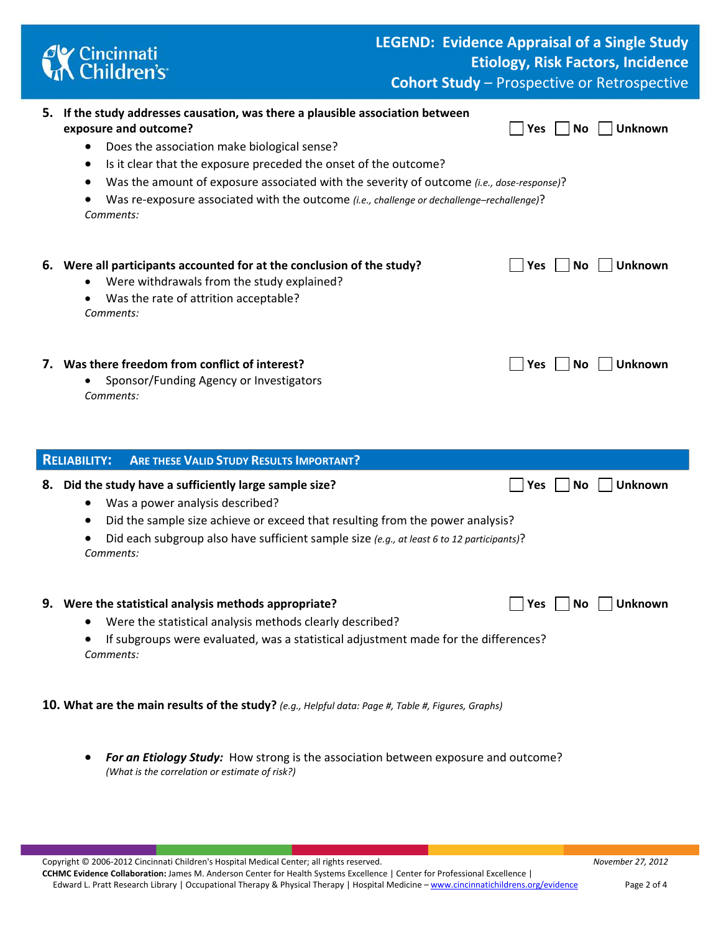

• *For an Etiology Study:* How strong is the association between exposure and outcome? *(What is the correlation or estimate of risk?)*

Copyright © 2006-2012 Cincinnati Children's Hospital Medical Center; all rights reserved. *November 27, 2012*

**CCHMC Evidence Collaboration:** James M. Anderson Center for Health Systems Excellence | Center for Professional Excellence | Edward L. Pratt Research Library | Occupational Therapy & Physical Therapy | Hospital Medicine – [www.cincinnatichildrens.org/evidence](http://www.cincinnatichildrens.org/evidence) Page 2 of 4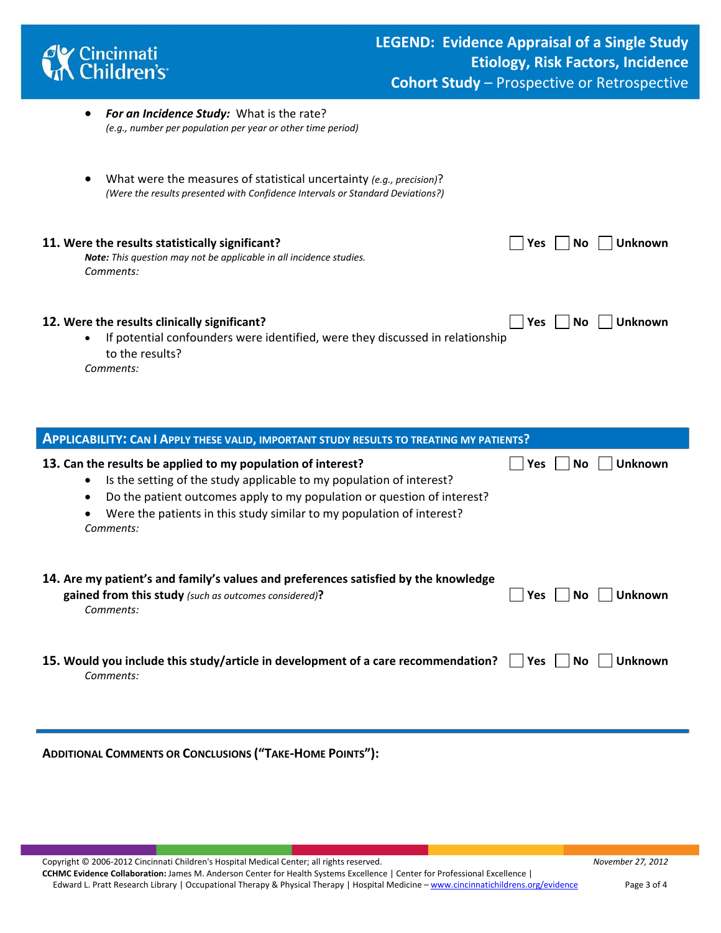

| For an Incidence Study: What is the rate?<br>(e.g., number per population per year or other time period)                                                                                                                                                                                                                |                                           |
|-------------------------------------------------------------------------------------------------------------------------------------------------------------------------------------------------------------------------------------------------------------------------------------------------------------------------|-------------------------------------------|
| What were the measures of statistical uncertainty (e.g., precision)?<br>٠<br>(Were the results presented with Confidence Intervals or Standard Deviations?)                                                                                                                                                             |                                           |
| 11. Were the results statistically significant?<br>Note: This question may not be applicable in all incidence studies.<br>Comments:                                                                                                                                                                                     | Unknown<br>No.<br><b>Yes</b>              |
| 12. Were the results clinically significant?<br>If potential confounders were identified, were they discussed in relationship<br>$\bullet$<br>to the results?<br>Comments:                                                                                                                                              | <b>Unknown</b><br><b>No</b><br><b>Yes</b> |
| <b>APPLICABILITY: CAN I APPLY THESE VALID, IMPORTANT STUDY RESULTS TO TREATING MY PATIENTS?</b>                                                                                                                                                                                                                         |                                           |
| 13. Can the results be applied to my population of interest?<br>Is the setting of the study applicable to my population of interest?<br>$\bullet$<br>Do the patient outcomes apply to my population or question of interest?<br>٠<br>Were the patients in this study similar to my population of interest?<br>Comments: | <b>No</b><br><b>Unknown</b><br>Yes        |
| 14. Are my patient's and family's values and preferences satisfied by the knowledge<br>gained from this study (such as outcomes considered)?<br>Comments:                                                                                                                                                               | Unknown<br>No<br><b>Yes</b>               |
| 15. Would you include this study/article in development of a care recommendation?<br>Comments:                                                                                                                                                                                                                          | Unknown<br>Yes<br>No                      |

**ADDITIONAL COMMENTS OR CONCLUSIONS ("TAKE-HOME POINTS"):** 

Copyright © 2006-2012 Cincinnati Children's Hospital Medical Center; all rights reserved. *November 27, 2012*

**CCHMC Evidence Collaboration:** James M. Anderson Center for Health Systems Excellence | Center for Professional Excellence | Edward L. Pratt Research Library | Occupational Therapy & Physical Therapy | Hospital Medicine – [www.cincinnatichildrens.org/evidence](http://www.cincinnatichildrens.org/evidence) Page 3 of 4